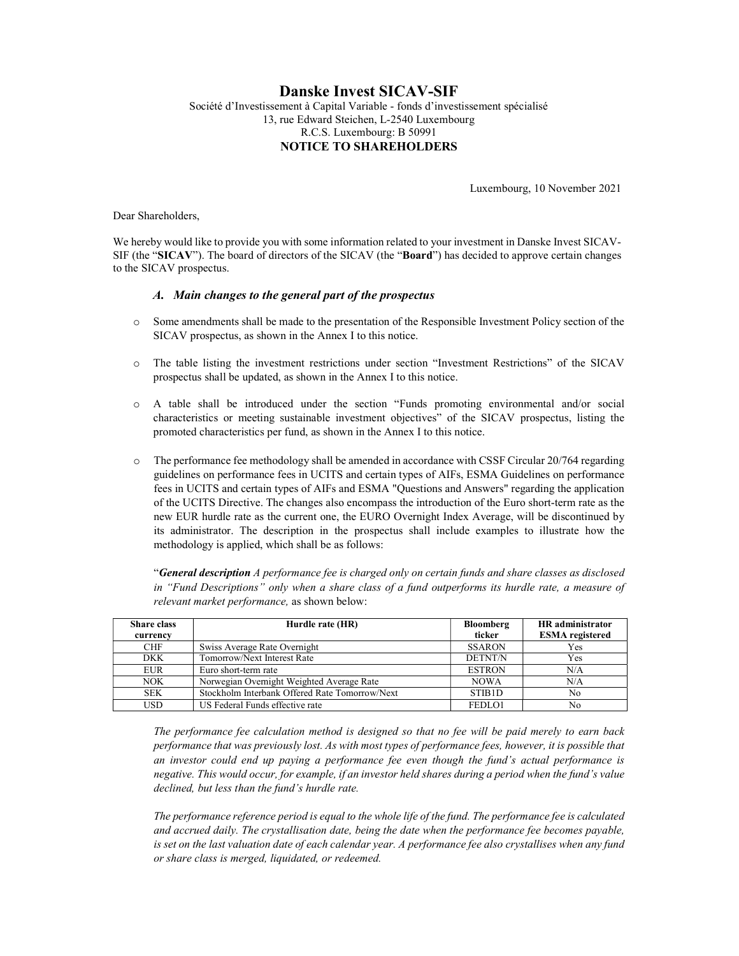# Danske Invest SICAV-SIF Société d'Investissement à Capital Variable - fonds d'investissement spécialisé 13, rue Edward Steichen, L-2540 Luxembourg R.C.S. Luxembourg: B 50991 NOTICE TO SHAREHOLDERS

Luxembourg, 10 November 2021

Dear Shareholders,

We hereby would like to provide you with some information related to your investment in Danske Invest SICAV-SIF (the "SICAV"). The board of directors of the SICAV (the "Board") has decided to approve certain changes to the SICAV prospectus.

## A. Main changes to the general part of the prospectus

- o Some amendments shall be made to the presentation of the Responsible Investment Policy section of the SICAV prospectus, as shown in the Annex I to this notice.
- o The table listing the investment restrictions under section "Investment Restrictions" of the SICAV prospectus shall be updated, as shown in the Annex I to this notice.
- o A table shall be introduced under the section "Funds promoting environmental and/or social characteristics or meeting sustainable investment objectives" of the SICAV prospectus, listing the promoted characteristics per fund, as shown in the Annex I to this notice.
- o The performance fee methodology shall be amended in accordance with CSSF Circular 20/764 regarding guidelines on performance fees in UCITS and certain types of AIFs, ESMA Guidelines on performance fees in UCITS and certain types of AIFs and ESMA "Questions and Answers" regarding the application of the UCITS Directive. The changes also encompass the introduction of the Euro short-term rate as the new EUR hurdle rate as the current one, the EURO Overnight Index Average, will be discontinued by its administrator. The description in the prospectus shall include examples to illustrate how the methodology is applied, which shall be as follows:

"General description A performance fee is charged only on certain funds and share classes as disclosed in "Fund Descriptions" only when a share class of a fund outperforms its hurdle rate, a measure of relevant market performance, as shown below:

| <b>Share class</b> | Hurdle rate (HR)                               | <b>Bloomberg</b>    | <b>HR</b> administrator |
|--------------------|------------------------------------------------|---------------------|-------------------------|
| currency           |                                                | ticker              | <b>ESMA</b> registered  |
| <b>CHF</b>         | Swiss Average Rate Overnight                   | <b>SSARON</b>       | <b>Yes</b>              |
| DKK                | Tomorrow/Next Interest Rate                    | <b>DETNT/N</b>      | <b>Yes</b>              |
| EUR                | Euro short-term rate                           | <b>ESTRON</b>       | N/A                     |
| <b>NOK</b>         | Norwegian Overnight Weighted Average Rate      | <b>NOWA</b>         | N/A                     |
| <b>SEK</b>         | Stockholm Interbank Offered Rate Tomorrow/Next | STIB <sub>1</sub> D | N <sub>0</sub>          |
| <b>USD</b>         | US Federal Funds effective rate                | FEDLO1              | No                      |

The performance fee calculation method is designed so that no fee will be paid merely to earn back performance that was previously lost. As with most types of performance fees, however, it is possible that an investor could end up paying a performance fee even though the fund's actual performance is negative. This would occur, for example, if an investor held shares during a period when the fund's value declined, but less than the fund's hurdle rate.

The performance reference period is equal to the whole life of the fund. The performance fee is calculated and accrued daily. The crystallisation date, being the date when the performance fee becomes payable, is set on the last valuation date of each calendar year. A performance fee also crystallises when any fund or share class is merged, liquidated, or redeemed.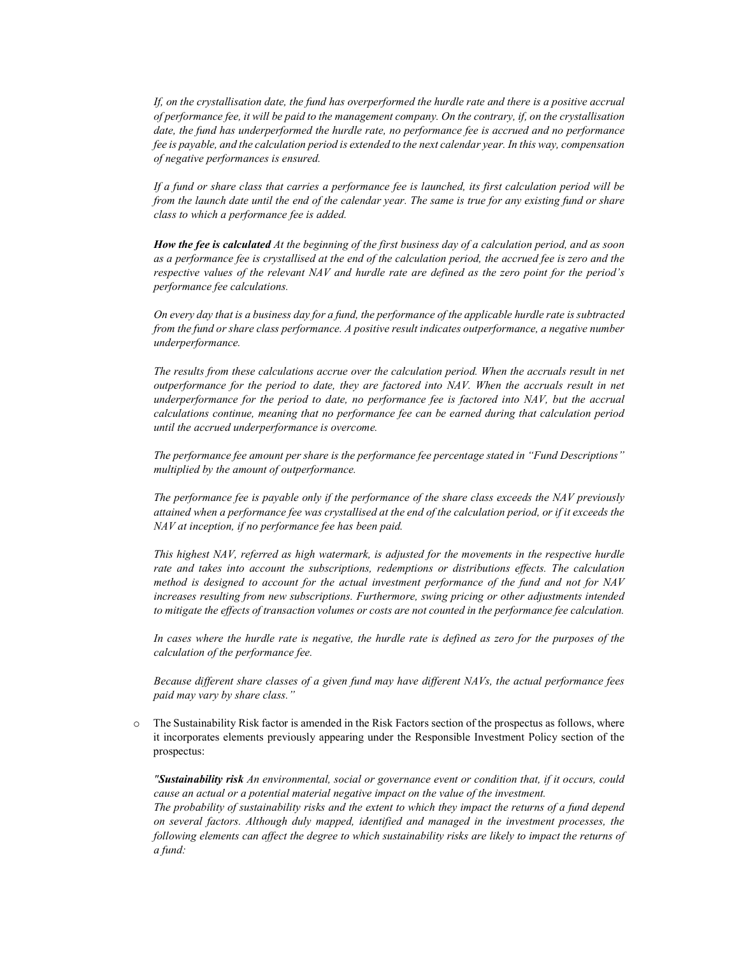If, on the crystallisation date, the fund has overperformed the hurdle rate and there is a positive accrual of performance fee, it will be paid to the management company. On the contrary, if, on the crystallisation date, the fund has underperformed the hurdle rate, no performance fee is accrued and no performance fee is payable, and the calculation period is extended to the next calendar year. In this way, compensation of negative performances is ensured.

If a fund or share class that carries a performance fee is launched, its first calculation period will be from the launch date until the end of the calendar year. The same is true for any existing fund or share class to which a performance fee is added.

How the fee is calculated At the beginning of the first business day of a calculation period, and as soon as a performance fee is crystallised at the end of the calculation period, the accrued fee is zero and the respective values of the relevant NAV and hurdle rate are defined as the zero point for the period's performance fee calculations.

On every day that is a business day for a fund, the performance of the applicable hurdle rate is subtracted from the fund or share class performance. A positive result indicates outperformance, a negative number underperformance.

The results from these calculations accrue over the calculation period. When the accruals result in net outperformance for the period to date, they are factored into NAV. When the accruals result in net underperformance for the period to date, no performance fee is factored into NAV, but the accrual calculations continue, meaning that no performance fee can be earned during that calculation period until the accrued underperformance is overcome.

The performance fee amount per share is the performance fee percentage stated in "Fund Descriptions" multiplied by the amount of outperformance.

The performance fee is payable only if the performance of the share class exceeds the NAV previously attained when a performance fee was crystallised at the end of the calculation period, or if it exceeds the NAV at inception, if no performance fee has been paid.

This highest NAV, referred as high watermark, is adjusted for the movements in the respective hurdle rate and takes into account the subscriptions, redemptions or distributions effects. The calculation method is designed to account for the actual investment performance of the fund and not for NAV increases resulting from new subscriptions. Furthermore, swing pricing or other adjustments intended to mitigate the effects of transaction volumes or costs are not counted in the performance fee calculation.

In cases where the hurdle rate is negative, the hurdle rate is defined as zero for the purposes of the calculation of the performance fee.

Because different share classes of a given fund may have different NAVs, the actual performance fees paid may vary by share class."

o The Sustainability Risk factor is amended in the Risk Factors section of the prospectus as follows, where it incorporates elements previously appearing under the Responsible Investment Policy section of the prospectus:

"Sustainability risk An environmental, social or governance event or condition that, if it occurs, could cause an actual or a potential material negative impact on the value of the investment. The probability of sustainability risks and the extent to which they impact the returns of a fund depend on several factors. Although duly mapped, identified and managed in the investment processes, the following elements can affect the degree to which sustainability risks are likely to impact the returns of a fund: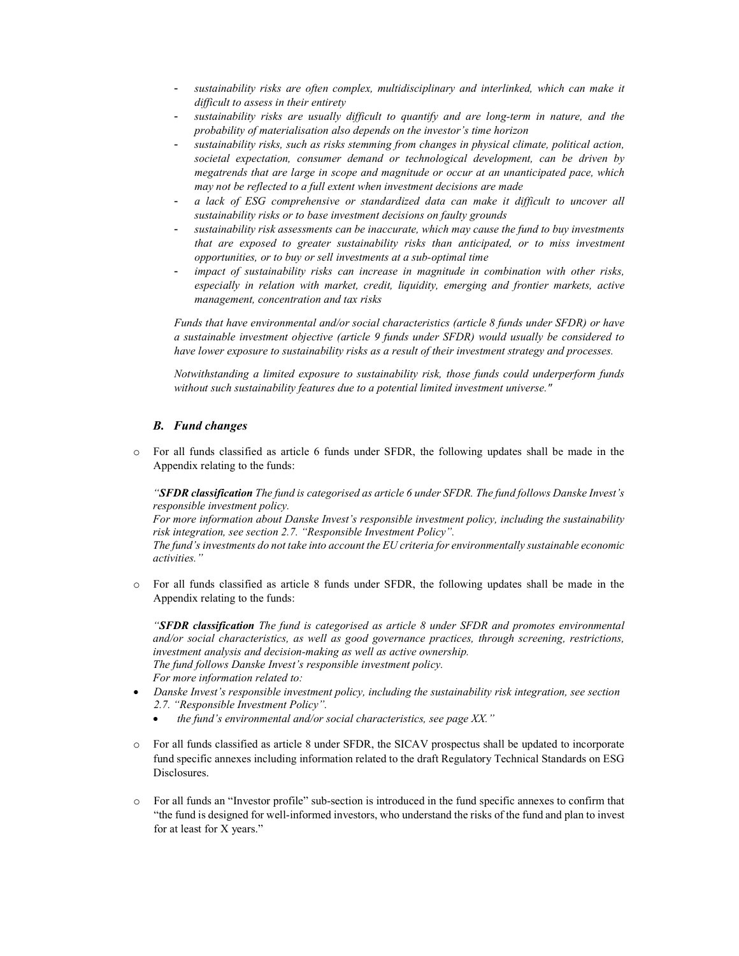- sustainability risks are often complex, multidisciplinary and interlinked, which can make it difficult to assess in their entirety
- sustainability risks are usually difficult to quantify and are long-term in nature, and the probability of materialisation also depends on the investor's time horizon
- sustainability risks, such as risks stemming from changes in physical climate, political action, societal expectation, consumer demand or technological development, can be driven by megatrends that are large in scope and magnitude or occur at an unanticipated pace, which may not be reflected to a full extent when investment decisions are made
- a lack of ESG comprehensive or standardized data can make it difficult to uncover all sustainability risks or to base investment decisions on faulty grounds
- sustainability risk assessments can be inaccurate, which may cause the fund to buy investments that are exposed to greater sustainability risks than anticipated, or to miss investment opportunities, or to buy or sell investments at a sub-optimal time
- impact of sustainability risks can increase in magnitude in combination with other risks, especially in relation with market, credit, liquidity, emerging and frontier markets, active management, concentration and tax risks

Funds that have environmental and/or social characteristics (article 8 funds under SFDR) or have a sustainable investment objective (article 9 funds under SFDR) would usually be considered to have lower exposure to sustainability risks as a result of their investment strategy and processes.

Notwithstanding a limited exposure to sustainability risk, those funds could underperform funds without such sustainability features due to a potential limited investment universe."

## B. Fund changes

o For all funds classified as article 6 funds under SFDR, the following updates shall be made in the Appendix relating to the funds:

"SFDR classification The fund is categorised as article 6 under SFDR. The fund follows Danske Invest's responsible investment policy.

For more information about Danske Invest's responsible investment policy, including the sustainability risk integration, see section 2.7. "Responsible Investment Policy".

The fund's investments do not take into account the EU criteria for environmentally sustainable economic activities."

o For all funds classified as article 8 funds under SFDR, the following updates shall be made in the Appendix relating to the funds:

"SFDR classification The fund is categorised as article 8 under SFDR and promotes environmental and/or social characteristics, as well as good governance practices, through screening, restrictions, investment analysis and decision-making as well as active ownership. The fund follows Danske Invest's responsible investment policy. For more information related to:

- Danske Invest's responsible investment policy, including the sustainability risk integration, see section 2.7. "Responsible Investment Policy".
	- $\bullet$  the fund's environmental and/or social characteristics, see page XX."
- o For all funds classified as article 8 under SFDR, the SICAV prospectus shall be updated to incorporate fund specific annexes including information related to the draft Regulatory Technical Standards on ESG Disclosures.
- o For all funds an "Investor profile" sub-section is introduced in the fund specific annexes to confirm that "the fund is designed for well-informed investors, who understand the risks of the fund and plan to invest for at least for X years."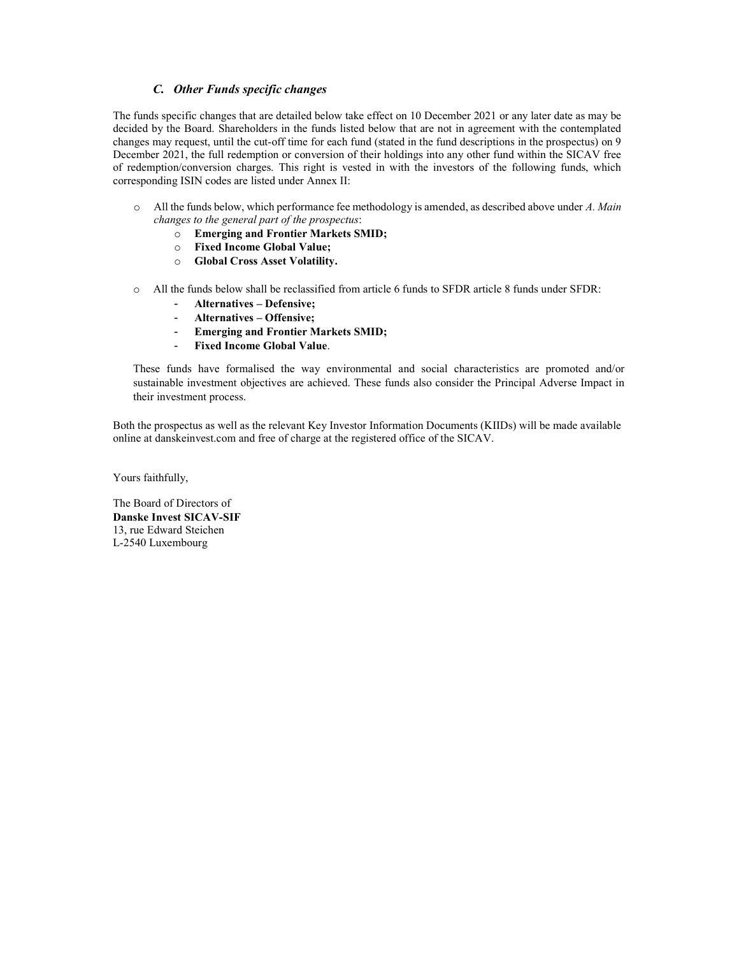# C. Other Funds specific changes

The funds specific changes that are detailed below take effect on 10 December 2021 or any later date as may be decided by the Board. Shareholders in the funds listed below that are not in agreement with the contemplated changes may request, until the cut-off time for each fund (stated in the fund descriptions in the prospectus) on 9 December 2021, the full redemption or conversion of their holdings into any other fund within the SICAV free of redemption/conversion charges. This right is vested in with the investors of the following funds, which corresponding ISIN codes are listed under Annex II:

- o All the funds below, which performance fee methodology is amended, as described above under A. Main changes to the general part of the prospectus:
	- o Emerging and Frontier Markets SMID;
	- o Fixed Income Global Value;
	- o Global Cross Asset Volatility.
- o All the funds below shall be reclassified from article 6 funds to SFDR article 8 funds under SFDR:
	- Alternatives Defensive;
	- Alternatives Offensive;
	- Emerging and Frontier Markets SMID;
	- Fixed Income Global Value.

These funds have formalised the way environmental and social characteristics are promoted and/or sustainable investment objectives are achieved. These funds also consider the Principal Adverse Impact in their investment process.

Both the prospectus as well as the relevant Key Investor Information Documents (KIIDs) will be made available online at danskeinvest.com and free of charge at the registered office of the SICAV.

Yours faithfully,

The Board of Directors of Danske Invest SICAV-SIF 13, rue Edward Steichen L-2540 Luxembourg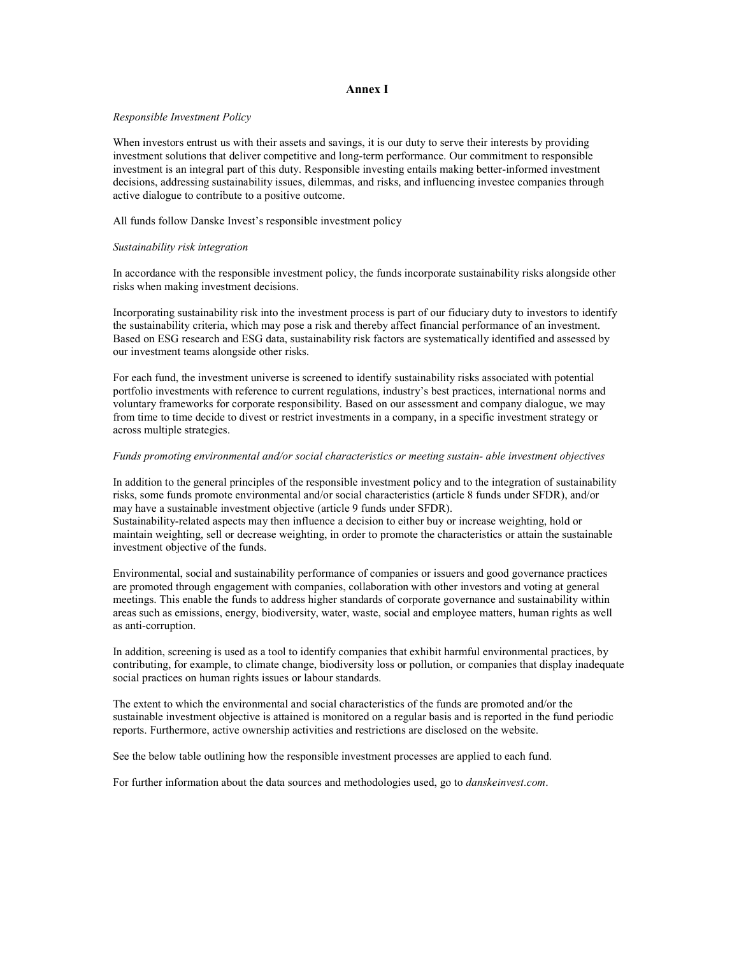### Annex I

### Responsible Investment Policy

When investors entrust us with their assets and savings, it is our duty to serve their interests by providing investment solutions that deliver competitive and long-term performance. Our commitment to responsible investment is an integral part of this duty. Responsible investing entails making better-informed investment decisions, addressing sustainability issues, dilemmas, and risks, and influencing investee companies through active dialogue to contribute to a positive outcome.

All funds follow Danske Invest's responsible investment policy

#### Sustainability risk integration

In accordance with the responsible investment policy, the funds incorporate sustainability risks alongside other risks when making investment decisions.

Incorporating sustainability risk into the investment process is part of our fiduciary duty to investors to identify the sustainability criteria, which may pose a risk and thereby affect financial performance of an investment. Based on ESG research and ESG data, sustainability risk factors are systematically identified and assessed by our investment teams alongside other risks.

For each fund, the investment universe is screened to identify sustainability risks associated with potential portfolio investments with reference to current regulations, industry's best practices, international norms and voluntary frameworks for corporate responsibility. Based on our assessment and company dialogue, we may from time to time decide to divest or restrict investments in a company, in a specific investment strategy or across multiple strategies.

### Funds promoting environmental and/or social characteristics or meeting sustain- able investment objectives

In addition to the general principles of the responsible investment policy and to the integration of sustainability risks, some funds promote environmental and/or social characteristics (article 8 funds under SFDR), and/or may have a sustainable investment objective (article 9 funds under SFDR). Sustainability-related aspects may then influence a decision to either buy or increase weighting, hold or maintain weighting, sell or decrease weighting, in order to promote the characteristics or attain the sustainable investment objective of the funds.

Environmental, social and sustainability performance of companies or issuers and good governance practices are promoted through engagement with companies, collaboration with other investors and voting at general meetings. This enable the funds to address higher standards of corporate governance and sustainability within areas such as emissions, energy, biodiversity, water, waste, social and employee matters, human rights as well as anti-corruption.

In addition, screening is used as a tool to identify companies that exhibit harmful environmental practices, by contributing, for example, to climate change, biodiversity loss or pollution, or companies that display inadequate social practices on human rights issues or labour standards.

The extent to which the environmental and social characteristics of the funds are promoted and/or the sustainable investment objective is attained is monitored on a regular basis and is reported in the fund periodic reports. Furthermore, active ownership activities and restrictions are disclosed on the website.

See the below table outlining how the responsible investment processes are applied to each fund.

For further information about the data sources and methodologies used, go to *danskeinvest.com*.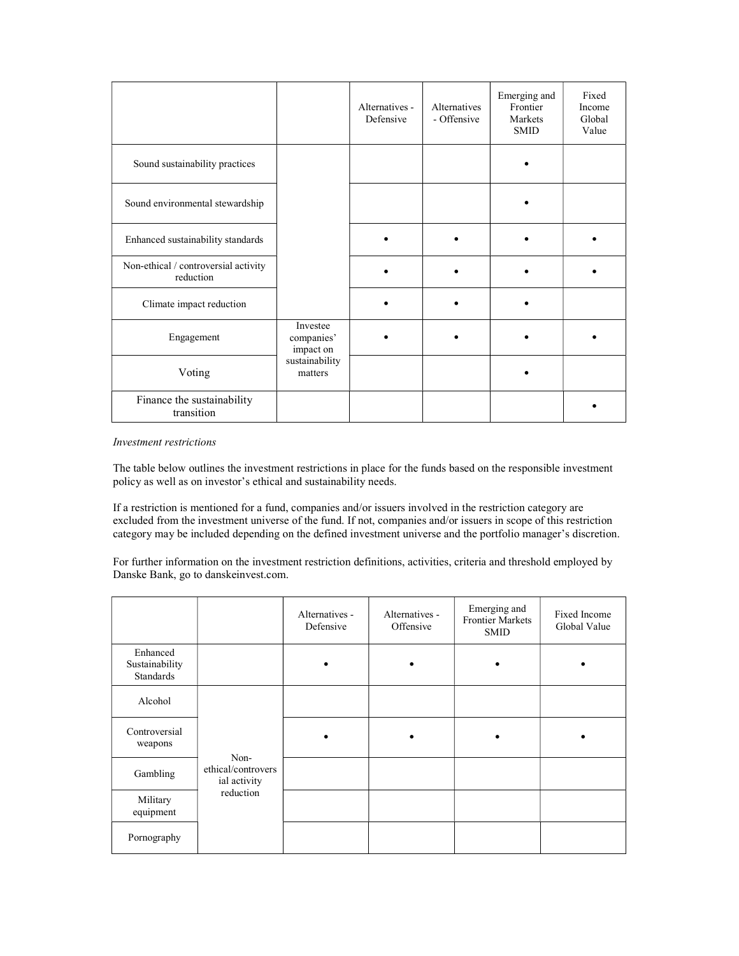|                                                   |                                     | Alternatives -<br>Defensive | Alternatives<br>- Offensive | Emerging and<br>Frontier<br>Markets<br><b>SMID</b> | Fixed<br>Income<br>Global<br>Value |
|---------------------------------------------------|-------------------------------------|-----------------------------|-----------------------------|----------------------------------------------------|------------------------------------|
| Sound sustainability practices                    |                                     |                             |                             |                                                    |                                    |
| Sound environmental stewardship                   |                                     |                             |                             |                                                    |                                    |
| Enhanced sustainability standards                 |                                     |                             |                             |                                                    |                                    |
| Non-ethical / controversial activity<br>reduction |                                     |                             |                             |                                                    |                                    |
| Climate impact reduction                          |                                     |                             |                             |                                                    |                                    |
| Engagement                                        | Investee<br>companies'<br>impact on |                             |                             |                                                    |                                    |
| Voting                                            | sustainability<br>matters           |                             |                             |                                                    |                                    |
| Finance the sustainability<br>transition          |                                     |                             |                             |                                                    |                                    |

### Investment restrictions

The table below outlines the investment restrictions in place for the funds based on the responsible investment policy as well as on investor's ethical and sustainability needs.

If a restriction is mentioned for a fund, companies and/or issuers involved in the restriction category are excluded from the investment universe of the fund. If not, companies and/or issuers in scope of this restriction category may be included depending on the defined investment universe and the portfolio manager's discretion.

For further information on the investment restriction definitions, activities, criteria and threshold employed by Danske Bank, go to danskeinvest.com.

|                                         |                                            | Alternatives -<br>Defensive | Alternatives -<br>Offensive | Emerging and<br><b>Frontier Markets</b><br><b>SMID</b> | Fixed Income<br>Global Value |
|-----------------------------------------|--------------------------------------------|-----------------------------|-----------------------------|--------------------------------------------------------|------------------------------|
| Enhanced<br>Sustainability<br>Standards |                                            |                             |                             |                                                        |                              |
| Alcohol                                 |                                            |                             |                             |                                                        |                              |
| Controversial<br>weapons                |                                            |                             |                             |                                                        |                              |
| Gambling                                | Non-<br>ethical/controvers<br>ial activity |                             |                             |                                                        |                              |
| Military<br>equipment                   | reduction                                  |                             |                             |                                                        |                              |
| Pornography                             |                                            |                             |                             |                                                        |                              |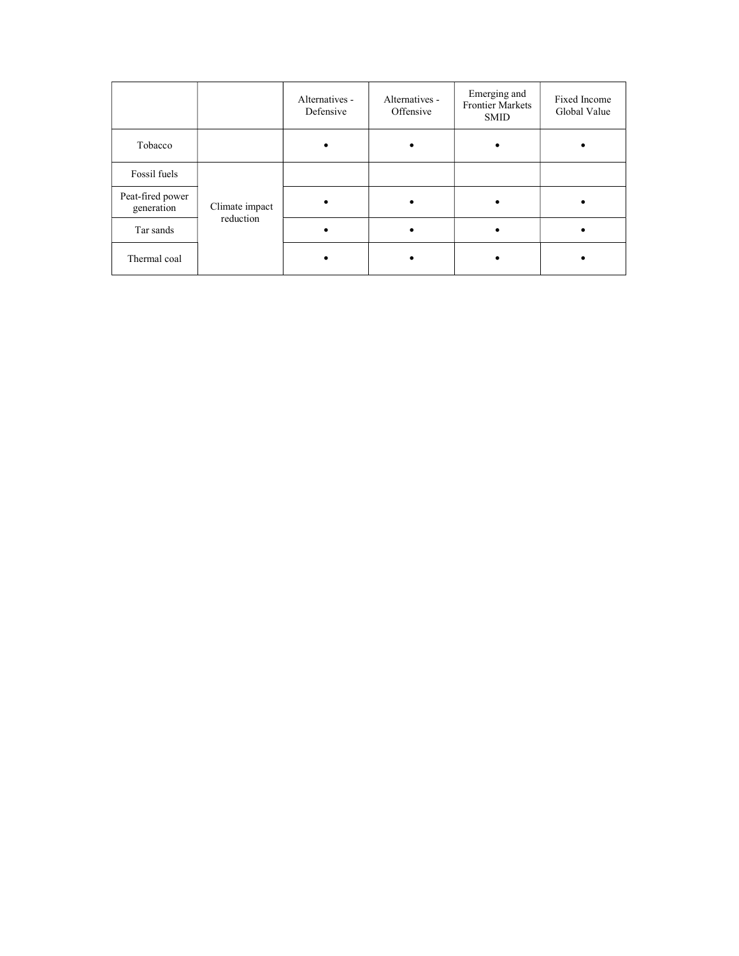|                                |                | Alternatives -<br>Defensive | Alternatives -<br>Offensive | Emerging and<br><b>Frontier Markets</b><br><b>SMID</b> | Fixed Income<br>Global Value |
|--------------------------------|----------------|-----------------------------|-----------------------------|--------------------------------------------------------|------------------------------|
| Tobacco                        |                |                             |                             |                                                        |                              |
| Fossil fuels                   |                |                             |                             |                                                        |                              |
| Peat-fired power<br>generation | Climate impact |                             |                             |                                                        |                              |
| Tar sands                      | reduction      |                             |                             |                                                        |                              |
| Thermal coal                   |                |                             |                             |                                                        |                              |